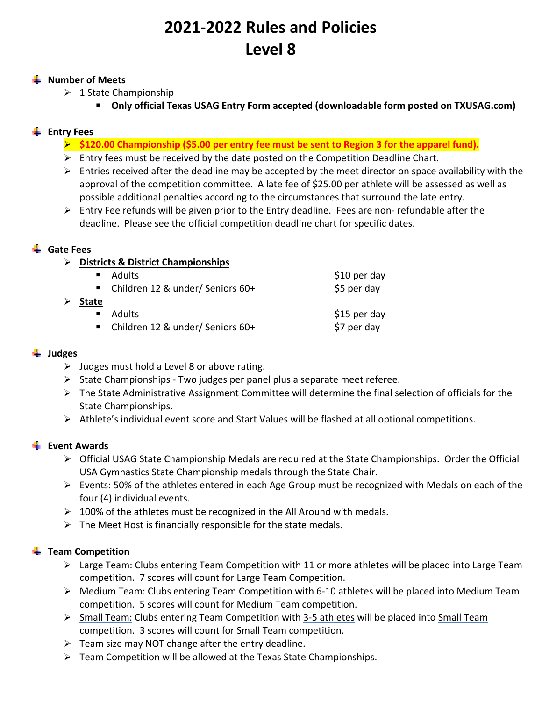# **2021‐2022 Rules and Policies Level 8**

#### **Wumber of Meets**

- $\geq 1$  State Championship
	- **Only official Texas USAG Entry Form accepted (downloadable form posted on TXUSAG.com)**

## **Entry Fees**

- **\$120.00 Championship (\$5.00 per entry fee must be sent to Region 3 for the apparel fund).**
- $\triangleright$  Entry fees must be received by the date posted on the Competition Deadline Chart.
- $\triangleright$  Entries received after the deadline may be accepted by the meet director on space availability with the approval of the competition committee. A late fee of \$25.00 per athlete will be assessed as well as possible additional penalties according to the circumstances that surround the late entry.
- $\triangleright$  Entry Fee refunds will be given prior to the Entry deadline. Fees are non-refundable after the deadline. Please see the official competition deadline chart for specific dates.

#### **Gate Fees**

**Districts & District Championships** 

|                | ■ Adults                           | $$10$ per day |
|----------------|------------------------------------|---------------|
|                | ■ Children 12 & under/ Seniors 60+ | \$5 per day   |
| <b>State</b>   |                                    |               |
| $\blacksquare$ | <b>Adults</b>                      | \$15 per day  |
|                | ■ Children 12 & under/ Seniors 60+ | \$7 per day   |

#### **Judges**

- $\triangleright$  Judges must hold a Level 8 or above rating.
- $\triangleright$  State Championships Two judges per panel plus a separate meet referee.
- $\triangleright$  The State Administrative Assignment Committee will determine the final selection of officials for the State Championships.
- $\triangleright$  Athlete's individual event score and Start Values will be flashed at all optional competitions.

#### **Event Awards**

- $\triangleright$  Official USAG State Championship Medals are required at the State Championships. Order the Official USA Gymnastics State Championship medals through the State Chair.
- $\triangleright$  Events: 50% of the athletes entered in each Age Group must be recognized with Medals on each of the four (4) individual events.
- $\geq 100\%$  of the athletes must be recognized in the All Around with medals.
- $\triangleright$  The Meet Host is financially responsible for the state medals.

#### **Team Competition**

- $\triangleright$  Large Team: Clubs entering Team Competition with 11 or more athletes will be placed into Large Team competition. 7 scores will count for Large Team Competition.
- ▶ Medium Team: Clubs entering Team Competition with 6-10 athletes will be placed into Medium Team competition. 5 scores will count for Medium Team competition.
- Small Team: Clubs entering Team Competition with 3‐5 athletes will be placed into Small Team competition. 3 scores will count for Small Team competition.
- $\triangleright$  Team size may NOT change after the entry deadline.
- $\triangleright$  Team Competition will be allowed at the Texas State Championships.